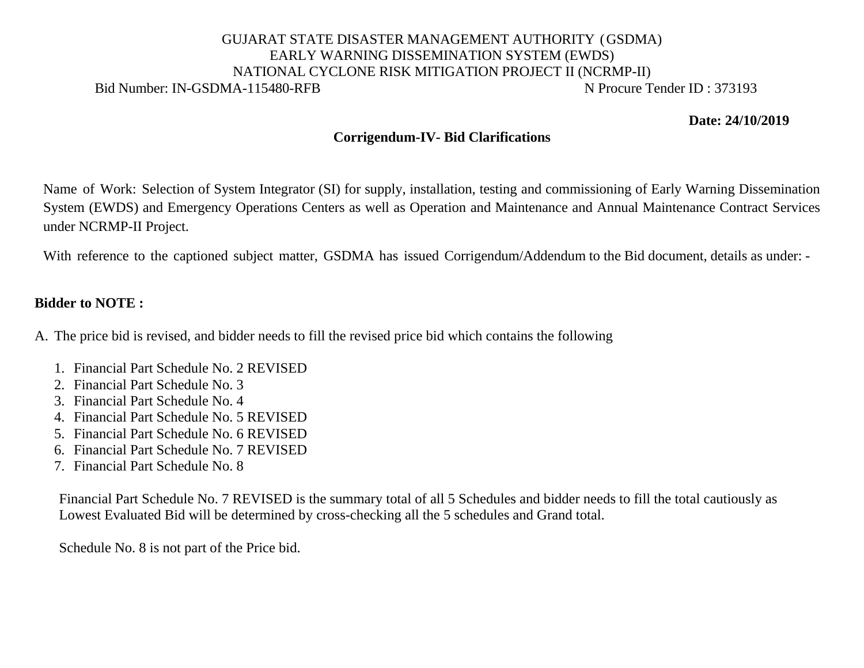## GUJARAT STATE DISASTER MANAGEMENT AUTHORITY (GSDMA) EARLY WARNING DISSEMINATION SYSTEM (EWDS) NATIONAL CYCLONE RISK MITIGATION PROJECT II (NCRMP-II) Bid Number: IN-GSDMA-115480-RFB N Procure Tender ID: 373193

**Date: 24/10/2019**

## **Corrigendum-IV- Bid Clarifications**

Name of Work: Selection of System Integrator (SI) for supply, installation, testing and commissioning of Early Warning Dissemination System (EWDS) and Emergency Operations Centers as well as Operation and Maintenance and Annual Maintenance Contract Services under NCRMP-II Project.

With reference to the captioned subject matter, GSDMA has issued Corrigendum/Addendum to the Bid document, details as under: -

## **Bidder to NOTE :**

- A. The price bid is revised, and bidder needs to fill the revised price bid which contains the following
	- 1. Financial Part Schedule No. 2 REVISED
	- 2. Financial Part Schedule No. 3
	- 3. Financial Part Schedule No. 4
	- 4. Financial Part Schedule No. 5 REVISED
	- 5. Financial Part Schedule No. 6 REVISED
	- 6. Financial Part Schedule No. 7 REVISED
	- 7. Financial Part Schedule No. 8

Financial Part Schedule No. 7 REVISED is the summary total of all 5 Schedules and bidder needs to fill the total cautiously as Lowest Evaluated Bid will be determined by cross-checking all the 5 schedules and Grand total.

Schedule No. 8 is not part of the Price bid.